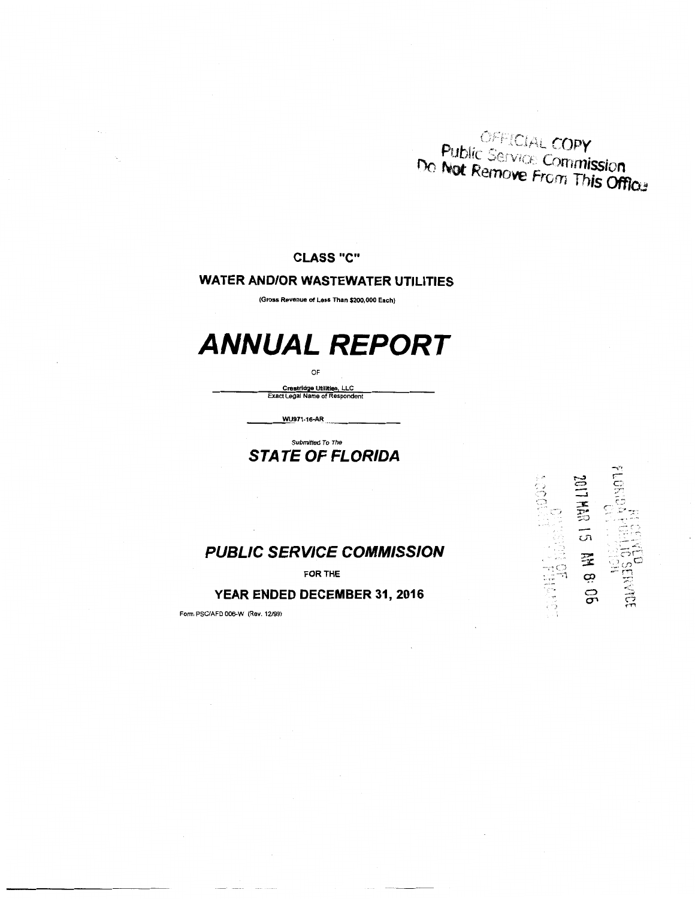OFFICIAL COPY **Public Service Copy**<br>Do Not Remove From This Office

#### **CLASS** "C"

#### **WATER AND/OR WASTEWATER UTILITIES**

(Gross Revenue of Less Than \$200,000 Each)

## **ANNUAL REPORT**

OF

Crestridge Utilities, LLC Exact Legal Name of Respondent

wus71-16-AR

HER LG 星の  $\rightarrow$  (  $\rightarrow$ :. I·,: ··-·1

g

 $\ddot{\cdot}$ 

#### Submitted To The **STATE OF FLORIDA**

#### **PUBLIC SERVICE COMMISSION**

FOR THE

#### YEAR ENDED DECEMBER 31, 2016

Form PSCIAFD 006-W (Rev. 12199)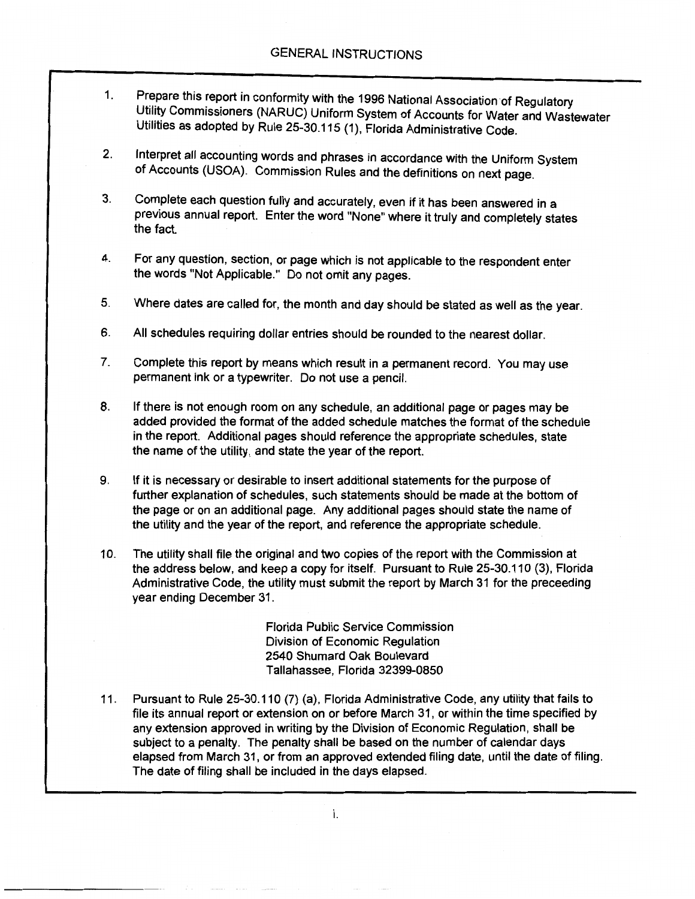- 1. Prepare this report in conformity with the 1996 National Association of Regulatory Utility Commissioners (NARUC) Uniform System of Accounts for Water and Wastewater Utilities as adopted by Rule 25-30.115 (1), Florida Administrative Code.
- 2. Interpret all accounting words and phrases in accordance with the Uniform System of Accounts (USOA). Commission Rules and the definitions on next page.
- 3. Complete each question fully and accurately, even if it has been answered in a previous annual report. Enter the word "None" where it truly and completely states the fact.
- 4. For any question, section, or page which is not applicable to the respondent enter the words "Not Applicable." Do not omit any pages.
- 5. Where dates are called for, the month and day should be stated as well as the year.
- 6. All schedules requiring dollar entries should be rounded to the nearest dollar.
- 7. Complete this report by means which result in a permanent record. You may use permanent ink or a typewriter. Do not use a pencil.
- 8. If there is not enough room on any schedule, an additional page or pages may be added provided the format of the added schedule matches the format of the schedule in the report. Additional pages should reference the appropriate schedules, state the name of the utility, and state the year of the report.
- 9. If it is necessary or desirable to insert additional statements for the purpose of further explanation of schedules, such statements should be made at the bottom of the page or on an additional page. Any additional pages should state the name of the utility and the year of the report, and reference the appropriate schedule.
- 10. The utility shall file the original and two copies of the report with the Commission at the address below, and keep a copy for itself. Pursuant to Rule 25-30.110 (3), Florida Administrative Code, the utility must submit the report by March 31 for the preceeding year ending December 31.

Florida Public Service Commission Division of Economic Regulation 2540 Shumard Oak Boulevard Tallahassee, Florida 32399-0850

11. Pursuant to Rule 25-30.110 (7) (a), Florida Administrative Code, any utility that fails to file its annual report or extension on or before March 31, or within the time specified by any extension approved in writing by the Division of Economic Regulation, shall be subject to a penalty. The penalty shall be based on the number of calendar days elapsed from March 31, or from an approved extended filing date, until the date of filing. The date of filing shall be included in the days elapsed.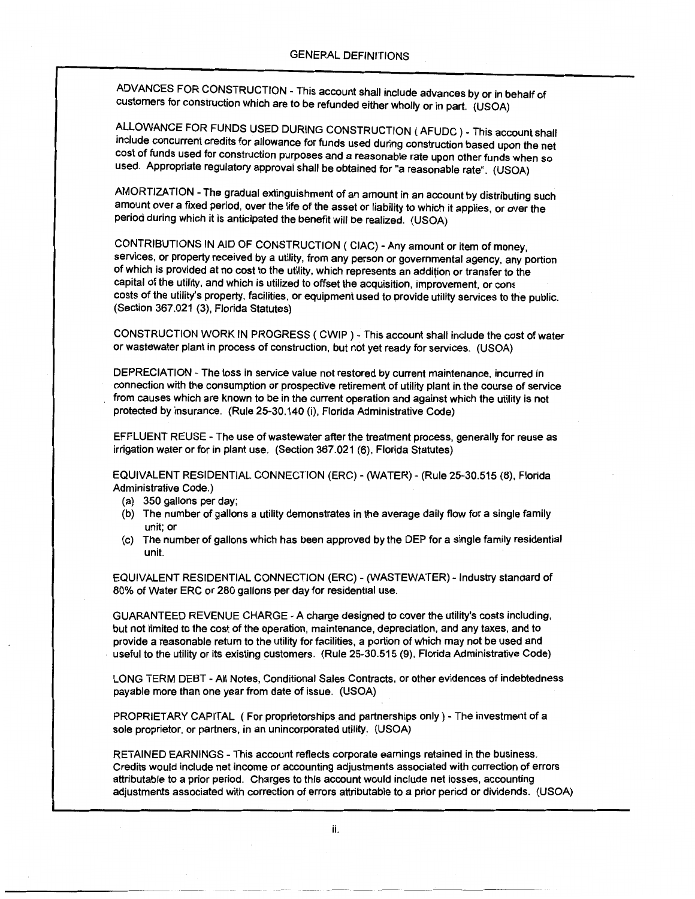ADVANCES FOR CONSTRUCTION- This account shall include advances by or in behalf of customers for construction which are to be refunded either wholly or in part. (USOA)

ALLOWANCE FOR FUNDS USED DURING CONSTRUCTION ( AFUDC ) - This account shall include concurrent credits for allowance for funds used during construction based upon the net cost of funds used for construction purposes and a reasonable rate upon other funds when so used. Appropriate regulatory approval shall be obtained for "a reasonable rate". (USOA)

AMORTIZATION- The gradual extinguishment of an amount in an account by distributing such amount over a fixed period, over the life of the asset or liability to which it applies, or over the period during which it is anticipated the benefit will be realized. (USOA)

CONTRIBUTIONS IN AID OF CONSTRUCTION ( CIAC) -Any amount or item of money, services, or property received by a utility, from any person or governmental agency, any portion of which is provided at no cost to the utility, which represents an addition or transfer to the capital of the utility, and which is utilized to offset the acquisition, improvement, or com costs of the utility's property, facilities, or equipment used to provide utility services to the public. (Section 367.021 (3), Florida Statutes)

CONSTRUCTION WORK IN PROGRESS ( CWIP ) - This account shall include the cost of water or wastewater plant in process of construction, but not yet ready for services. (USOA)

DEPRECIATION- The loss in service value not restored by current maintenance, incurred in connection with the consumption or prospective retirement of utility plant in the course of service from causes which are known to be in the current operation and against which the utility is not protected by insurance. (Rule 25-30.140 (i), Florida Administrative Code)

EFFLUENT REUSE - The use of wastewater after the treatment process, generally for reuse as irrigation water or for in plant use. (Section 367.021 (6), Florida Statutes)

EQUIVALENT RESIDENTIAL CONNECTION (ERC)- (WATER)- (Rule 25-30.515 (8), Florida Administrative Code.)

- (a) 350 gallons per day;
- (b) The number of gallons a utility demonstrates in the average daily flow for a single family unit; or
- (c) The number of gallons which has been approved by the DEP for a single family residential unit.

EQUIVALENT RESIDENTIAL CONNECTION (ERC) - (WASTEWATER) - Industry standard of 80% of Water ERC or 280 gallons per day for residential use.

GUARANTEED REVENUE CHARGE -A charge designed to cover the utility's costs including, but not limited to the cost of the operation, maintenance, depreciation, and any taxes, and to provide a reasonable return to the utility for facilities, a portion of which may not be used and useful to the utility or its existing customers. (Rule 25-30.515 (9), Florida Administrative Code)

LONG TERM DEBT -All Notes, Conditional Sales Contracts, or other evidences of indebtedness payable more than one year from date of issue. (USOA)

PROPRIETARY CAPITAL (For proprietorships and partnerships only)- The investment of a sole proprietor, or partners, in an unincorporated utility. (USOA)

RETAINED EARNINGS- This account reflects corporate earnings retained in the business. Credits would include net income or accounting adjustments associated with correction of errors attributable to a prior period. Charges to this account would include net losses, accounting adjustments associated with correction of errors attributable to a prior period or dividends. (USOA)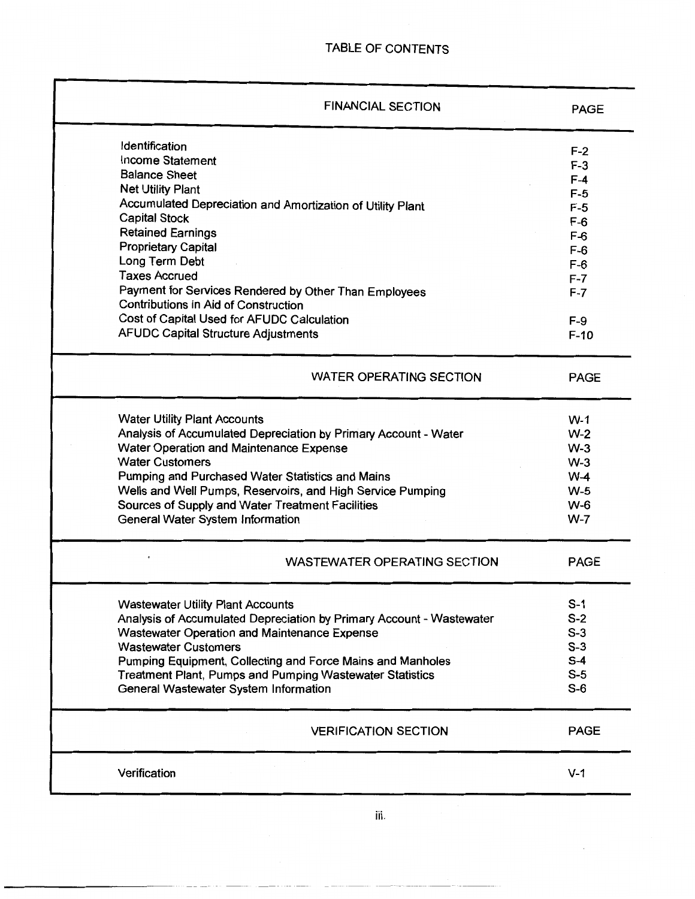| <b>FINANCIAL SECTION</b>                                                                             | <b>PAGE</b> |
|------------------------------------------------------------------------------------------------------|-------------|
| <b>Identification</b>                                                                                | $F-2$       |
| Income Statement                                                                                     | $F-3$       |
| <b>Balance Sheet</b>                                                                                 | $F-4$       |
| <b>Net Utility Plant</b>                                                                             | $F-5$       |
| Accumulated Depreciation and Amortization of Utility Plant                                           | $F-5$       |
| <b>Capital Stock</b>                                                                                 | $F-6$       |
| <b>Retained Earnings</b>                                                                             | $F-6$       |
| <b>Proprietary Capital</b>                                                                           | $F-6$       |
| Long Term Debt                                                                                       | $F-6$       |
| <b>Taxes Accrued</b>                                                                                 | $F - 7$     |
| Payment for Services Rendered by Other Than Employees<br><b>Contributions in Aid of Construction</b> | $F-7$       |
| Cost of Capital Used for AFUDC Calculation                                                           | $F-9$       |
| <b>AFUDC Capital Structure Adjustments</b>                                                           | $F-10$      |
| <b>WATER OPERATING SECTION</b>                                                                       | <b>PAGE</b> |
| <b>Water Utility Plant Accounts</b>                                                                  | $W-1$       |
| Analysis of Accumulated Depreciation by Primary Account - Water                                      | $W-2$       |
| Water Operation and Maintenance Expense                                                              | $W-3$       |
| <b>Water Customers</b>                                                                               | $W-3$       |
| Pumping and Purchased Water Statistics and Mains                                                     | $W-4$       |
| Wells and Well Pumps, Reservoirs, and High Service Pumping                                           | $W-5$       |
| Sources of Supply and Water Treatment Facilities                                                     | $W-6$       |
| General Water System Information                                                                     | $W-7$       |
| <b>WASTEWATER OPERATING SECTION</b>                                                                  | <b>PAGE</b> |
| <b>Wastewater Utility Plant Accounts</b>                                                             | $S-1$       |
| Analysis of Accumulated Depreciation by Primary Account - Wastewater                                 | $S-2$       |
| Wastewater Operation and Maintenance Expense                                                         | $S-3$       |
| <b>Wastewater Customers</b>                                                                          | $S-3$       |
| Pumping Equipment, Collecting and Force Mains and Manholes                                           | $S-4$       |
| <b>Treatment Plant, Pumps and Pumping Wastewater Statistics</b>                                      | $S-5$       |
| General Wastewater System Information                                                                | $S-6$       |
| <b>VERIFICATION SECTION</b>                                                                          | <b>PAGE</b> |
|                                                                                                      | $V-1$       |

iii.

 $\epsilon$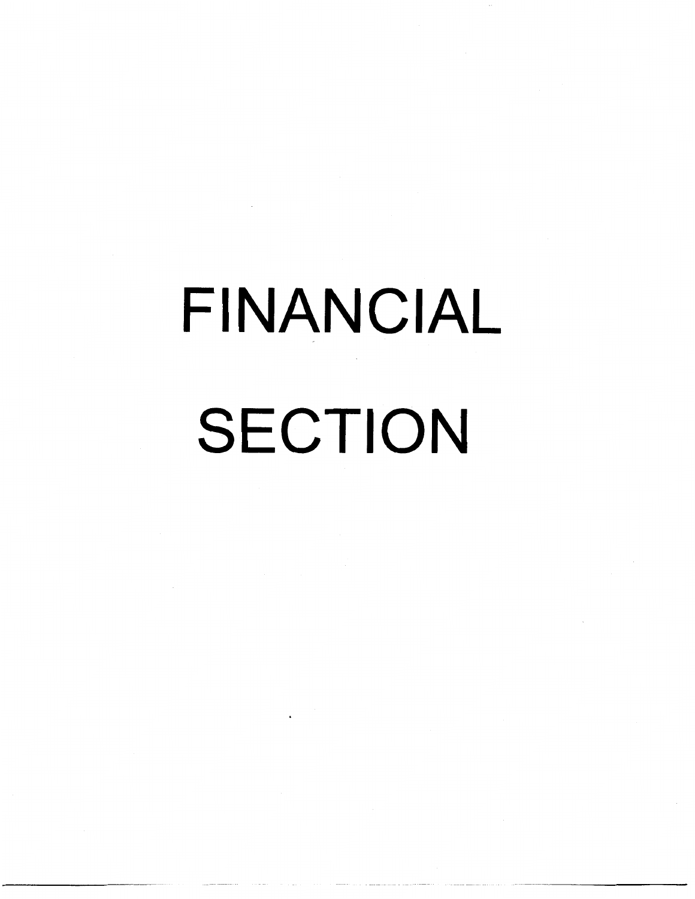# FINANCIAL SECTION

--~ ~-~-~--~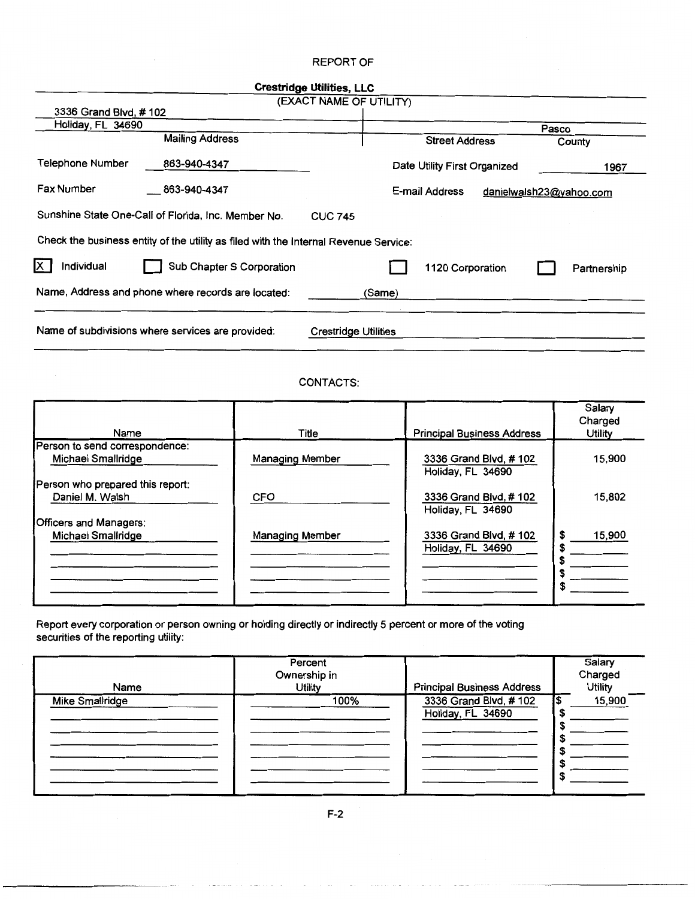#### REPORT OF

 $\hat{\boldsymbol{\beta}}$ 

|                                                                                      | <b>Crestridge Utilities, LLC</b>          |             |
|--------------------------------------------------------------------------------------|-------------------------------------------|-------------|
|                                                                                      | (EXACT NAME OF UTILITY)                   |             |
| 3336 Grand Blvd, #102                                                                |                                           |             |
| Holiday, FL 34690                                                                    | Pasco                                     |             |
| <b>Mailing Address</b>                                                               | <b>Street Address</b>                     | County      |
| Telephone Number<br>863-940-4347                                                     | Date Utility First Organized              | 1967        |
| <b>Fax Number</b><br>863-940-4347                                                    | E-mail Address<br>danielwalsh23@yahoo.com |             |
| Sunshine State One-Call of Florida, Inc. Member No.                                  | <b>CUC 745</b>                            |             |
| Check the business entity of the utility as filed with the Internal Revenue Service: |                                           |             |
| Х<br>Individual<br>Sub Chapter S Corporation                                         | 1120 Corporation                          | Partnership |
| Name, Address and phone where records are located:                                   | (Same)                                    |             |
| Name of subdivisions where services are provided:                                    | Crestridge Utilities                      |             |

#### CONTACTS:

| Name                             | Title                  | <b>Principal Business Address</b> | Salary<br>Charged<br>Utility |
|----------------------------------|------------------------|-----------------------------------|------------------------------|
|                                  |                        |                                   |                              |
| Person to send correspondence:   |                        |                                   |                              |
| Michael Smallridge               | Managing Member        | 3336 Grand Blyd, #102             | 15,900                       |
|                                  |                        | Holiday, FL 34690                 |                              |
| Person who prepared this report: |                        |                                   |                              |
| Daniel M. Walsh                  | <b>CFO</b>             | 3336 Grand Blvd, #102             | 15,802                       |
|                                  |                        | Holiday, FL 34690                 |                              |
| Officers and Managers:           |                        |                                   |                              |
| Michael Smallridge               | <b>Managing Member</b> | 3336 Grand Blvd, #102             | 15,900<br>S                  |
|                                  |                        | Holiday, FL 34690                 |                              |
|                                  |                        |                                   |                              |
|                                  |                        |                                   |                              |
|                                  |                        |                                   |                              |
|                                  |                        |                                   |                              |
|                                  |                        |                                   |                              |

Report every corporation or person owning or holding directly or indirectly 5 percent or more of the voting securities of the reporting utility:

| Name                   | Percent<br>Ownership in<br><b>Utility</b> | <b>Principal Business Address</b>          | Salary<br>Charged<br><b>Utility</b> |
|------------------------|-------------------------------------------|--------------------------------------------|-------------------------------------|
| <b>Mike Smallridge</b> | 100%                                      | 3336 Grand Blvd, #102<br>Holiday, FL 34690 | 15,900                              |
|                        |                                           |                                            |                                     |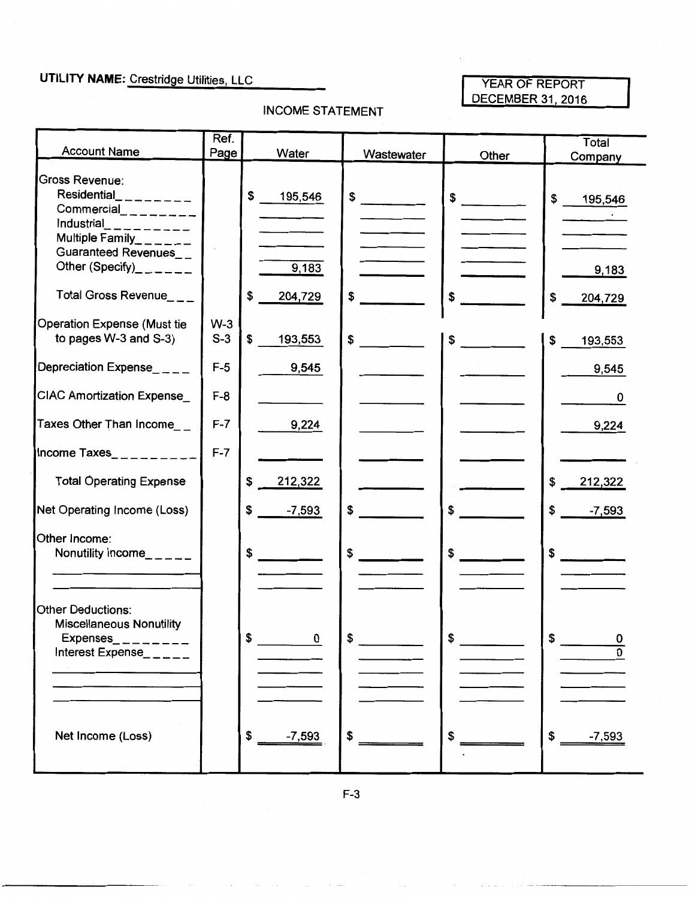### **UTILITY NAME:** Crestridge Utilities, LLC

#### YEAR OF REPORT

#### INCOME STATEMENT

| YEAR OF REPORT<br>DECEMBER 31, 2016 |  |
|-------------------------------------|--|

|                                                                                                                               | Ref.           |                        |            |                      | Total                  |
|-------------------------------------------------------------------------------------------------------------------------------|----------------|------------------------|------------|----------------------|------------------------|
| <b>Account Name</b>                                                                                                           | Page           | Water                  | Wastewater | Other                | Company                |
| Gross Revenue:<br>Residential_________<br>$Commercial$ <sub>________</sub><br>Industrial<br>--------<br>Multiple Family______ |                | \$<br>195,546          | \$         | \$                   | \$<br>195,546          |
| Guaranteed Revenues__<br>Other (Specify)______<br>Total Gross Revenue___                                                      |                | 9,183<br>\$<br>204,729 | \$         | \$                   | 9,183<br>\$<br>204,729 |
| <b>Operation Expense (Must tie</b><br>to pages W-3 and S-3)                                                                   | $W-3$<br>$S-3$ | \$<br>193,553          | \$         | $\frac{1}{\sqrt{2}}$ | \$<br>193,553          |
| Depreciation Expense__ _ _                                                                                                    | $F-5$          | 9,545                  |            |                      | 9,545                  |
| <b>CIAC Amortization Expense_</b>                                                                                             | $F-8$          |                        |            |                      | 0                      |
| Taxes Other Than Income__                                                                                                     | $F-7$          | 9,224                  |            |                      | 9,224                  |
| Income Taxes__________                                                                                                        | $F-7$          |                        |            |                      |                        |
| <b>Total Operating Expense</b>                                                                                                |                | \$<br>212,322          |            |                      | \$<br>212,322          |
| Net Operating Income (Loss)                                                                                                   |                | \$<br>$-7,593$         | \$         | \$                   | $-7,593$<br>\$         |
| Other Income:<br>Nonutility Income_____                                                                                       |                | \$                     | \$         | \$                   | $\frac{1}{2}$          |
| <b>Other Deductions:</b><br><b>Miscellaneous Nonutility</b><br>Expenses<br>Interest Expense_ $\_ \_ \_ \_ \_ \_$              |                | 0<br>Φ                 | Φ          |                      | 0                      |
| Net Income (Loss)                                                                                                             |                | \$<br>$-7,593$         | \$         | \$                   | \$<br>$-7,593$         |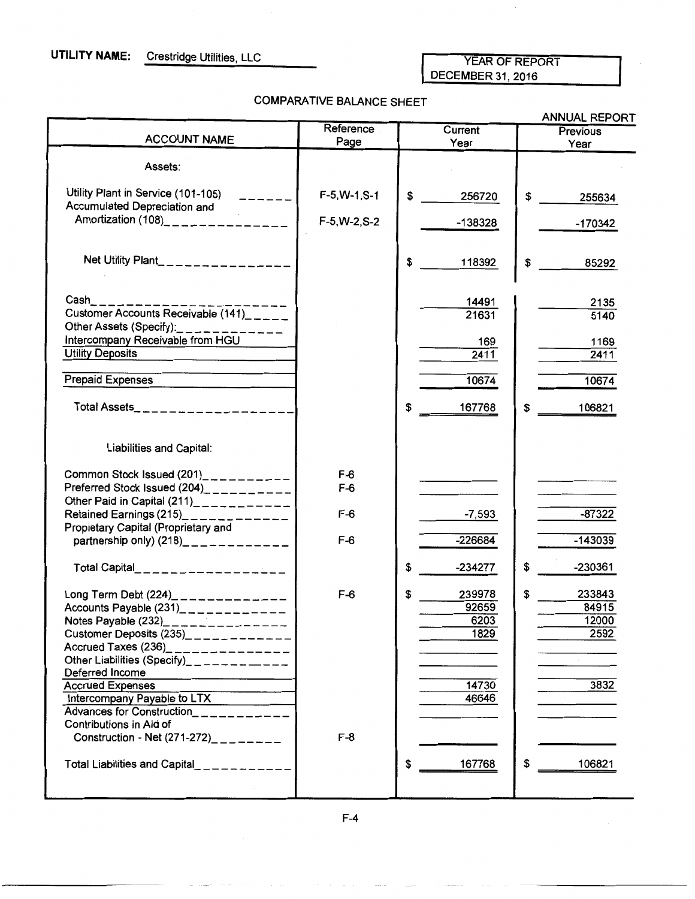#### YEAR OF REPORT DECEMBER 31,2016

 $\cdot$ 

#### COMPARATIVE BALANCE SHEET

|                                                                                                                                                                                                                                                                                                                  |                   |                                       | ANNUAL REPORT                          |
|------------------------------------------------------------------------------------------------------------------------------------------------------------------------------------------------------------------------------------------------------------------------------------------------------------------|-------------------|---------------------------------------|----------------------------------------|
| <b>ACCOUNT NAME</b>                                                                                                                                                                                                                                                                                              | Reference<br>Page | Current<br>Year                       | Previous<br>Year                       |
| Assets:                                                                                                                                                                                                                                                                                                          |                   |                                       |                                        |
| Utility Plant in Service (101-105)<br>Accumulated Depreciation and                                                                                                                                                                                                                                               | F-5 W-1 S-1       | \$<br>256720                          | \$<br>255634                           |
| Amortization (108)_______________                                                                                                                                                                                                                                                                                | $F-5, W-2, S-2$   | -138328                               | $-170342$                              |
| Net Utility Plant________________                                                                                                                                                                                                                                                                                |                   | \$<br>118392                          | \$<br>85292                            |
| $\sf Cash$ ____<br>Customer Accounts Receivable (141)                                                                                                                                                                                                                                                            |                   | 14491<br>21631                        | 2135<br>5140                           |
| Other Assets (Specify):____________<br>Intercompany Receivable from HGU<br><b>Utility Deposits</b>                                                                                                                                                                                                               |                   | 169<br>2411                           | 1169<br>2411                           |
| <b>Prepaid Expenses</b>                                                                                                                                                                                                                                                                                          |                   | 10674                                 | 10674                                  |
| Total Assets_____________________                                                                                                                                                                                                                                                                                |                   | \$<br>167768                          | \$<br>106821                           |
| Liabilities and Capital:                                                                                                                                                                                                                                                                                         |                   |                                       |                                        |
| Common Stock Issued (201)___________<br>Preferred Stock Issued (204)__________                                                                                                                                                                                                                                   | $F-6$<br>$F-6$    |                                       |                                        |
| Other Paid in Capital (211)___________                                                                                                                                                                                                                                                                           | $F-6$             | -7,593                                | $-87322$                               |
| Propietary Capital (Proprietary and<br>partnership only) $(218)$ <sub>2</sub> <sub>2</sub> <sub>2</sub> <sub>2</sub> <sub>2</sub> <sub>2</sub> <sub>2</sub> <sub>2</sub>                                                                                                                                         | $F-6$             | $-226684$                             | $-143039$                              |
| Total Capital___________________                                                                                                                                                                                                                                                                                 |                   | \$<br>-234277                         | \$<br>-230361                          |
| Long Term Debt (224)______________<br>Accounts Payable $(231)$ <sub>2</sub> <sub>2</sub> <sub>2</sub> <sub>2</sub> <sub>2</sub> <sub>2</sub><br>Notes Payable (232)_<br>_____________<br>Customer Deposits $(235)$ ____________<br>Accrued Taxes (236)_______________<br>Other Liabilities (Specify)____________ | $F-6$             | \$<br>239978<br>92659<br>6203<br>1829 | \$<br>233843<br>84915<br>12000<br>2592 |
| Deferred Income<br><b>Accrued Expenses</b><br>Intercompany Payable to LTX<br><b>Advances for Construction</b><br>_ _ _ _ _ _ _ _ _ _ _<br>Contributions in Aid of                                                                                                                                                |                   | 14730<br>46646                        | 3832                                   |
| Construction - Net $(271-272)$ <sub>________</sub>                                                                                                                                                                                                                                                               | $F-8$             |                                       |                                        |
|                                                                                                                                                                                                                                                                                                                  |                   | 167768<br>\$                          | 106821<br>\$                           |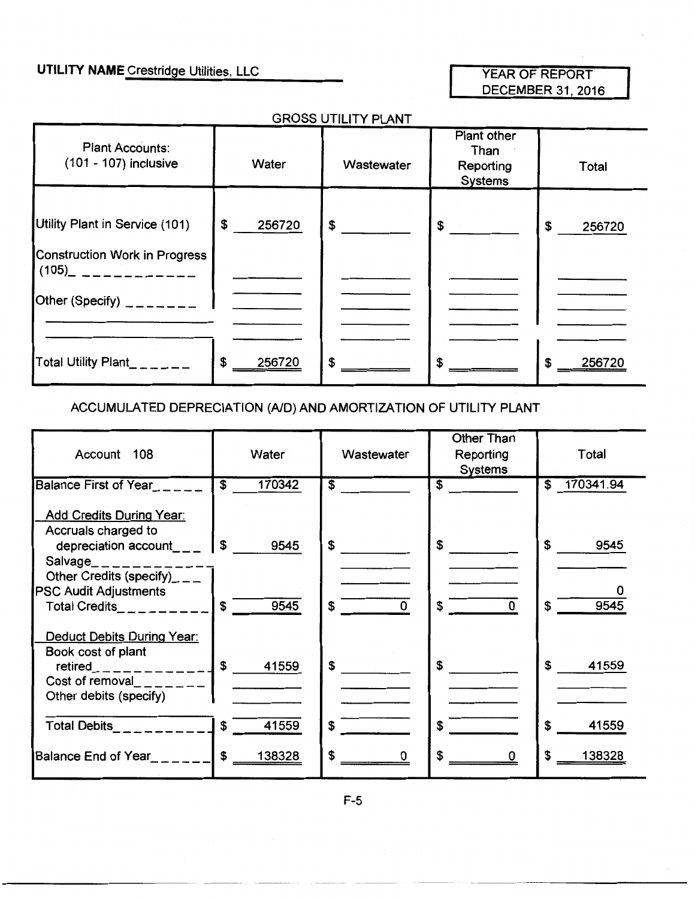### **UTILITY NAME** Crestridge Utilities, LLC

#### YEAR OF REPORT DECEMBER 31, 2016

#### GROSS UTILITY PLANT

| <b>Plant Accounts:</b><br>(101 - 107) inclusive                 | Water        | Wastewater | Plant other<br>Than<br>Reporting<br><b>Systems</b> | Total        |
|-----------------------------------------------------------------|--------------|------------|----------------------------------------------------|--------------|
| Utility Plant in Service (101)<br>Construction Work in Progress | \$<br>256720 | \$         | $\sim$                                             | £.<br>256720 |
| $(105)$ $---------$<br>Other (Specify) $2 - 2 - 2 - 1$          |              |            |                                                    |              |
| Total Utility Plant_ _ _ _ _ _                                  | \$<br>256720 | \$         | \$                                                 | £<br>256720  |

#### ACCUMULATED DEPRECIATION (AID) AND AMORTIZATION OF UTILITY PLANT

| Account 108                                                                                                                                                           | Water                             | Wastewater                     | Other Than<br>Reporting<br><b>Systems</b> | Total                 |
|-----------------------------------------------------------------------------------------------------------------------------------------------------------------------|-----------------------------------|--------------------------------|-------------------------------------------|-----------------------|
| <b>Balance First of Year</b>                                                                                                                                          | $\overline{\mathbf{s}}$<br>170342 | \$                             | $\overline{\mathbf{s}}$                   | 170341.94<br>\$       |
| <b>Add Credits During Year:</b><br>Accruals charged to<br>depreciation $account_{---}$                                                                                | \$<br>9545                        | \$                             | \$                                        | \$<br>9545            |
| Salvage____________<br>Other Credits (specify)___                                                                                                                     |                                   |                                |                                           |                       |
| <b>PSC Audit Adjustments</b><br>Total Credits__________                                                                                                               | $\sqrt{s}$<br>9545                | $\overline{\phantom{0}}$<br>\$ | $\overline{0}$<br>\$                      | 9545                  |
| Deduct Debits During Year:<br>Book cost of plant<br>$retired$ <sub>----------</sub> $\downarrow$ \$<br>Cost of removal $\Box$ $\Box$ $\Box$<br>Other debits (specify) | 41559                             | \$                             | \$                                        | $\mathbf{s}$<br>41559 |
| Total Debits_________                                                                                                                                                 | $\mathbf{s}$<br>41559             | \$                             | S                                         | \$<br>41559           |
| Balance End of Year <sub>_____</sub> __                                                                                                                               | \$<br>138328                      | \$<br>0                        | \$.                                       | 138328<br>\$.         |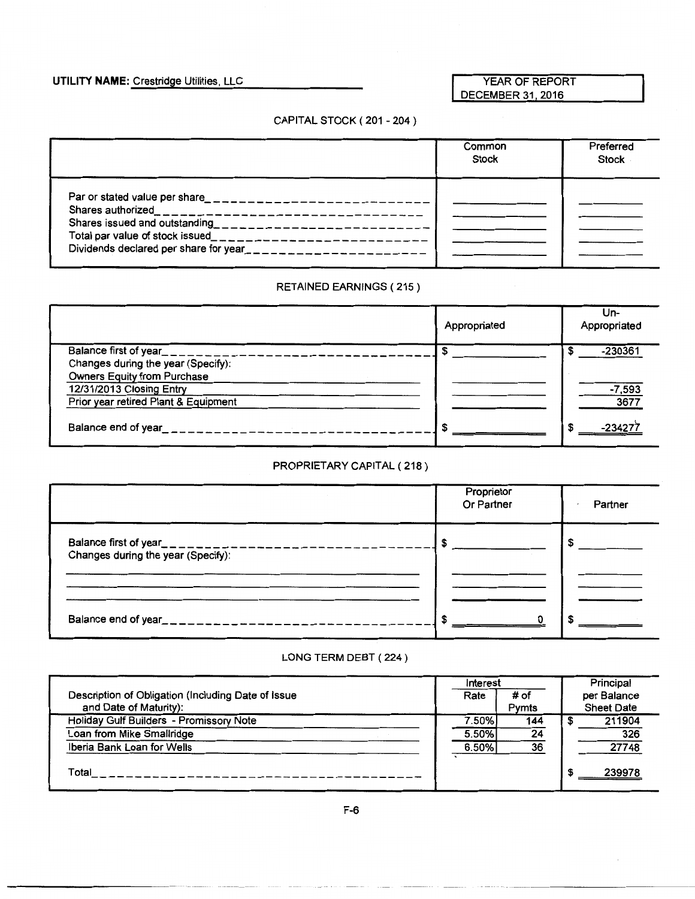#### **UTILITY NAME:** Crestridge Utilities, LLC

#### YEAR OF REPORT DECEMBER 31,2016

#### CAPITAL STOCK ( 201-204)

|                                                                                                                                                                                     | Common<br><b>Stock</b> | Preferred<br>Stock |
|-------------------------------------------------------------------------------------------------------------------------------------------------------------------------------------|------------------------|--------------------|
| Par or stated value per share_____________________________<br>Shares issued and outstanding<br>-----------------------<br>Total par value of stock issued__________________________ |                        |                    |

#### RETAINED EARNINGS ( 215)

|                                      | Appropriated | Un-<br>Appropriated |
|--------------------------------------|--------------|---------------------|
| Balance first of year                |              | $-230361$<br>æ      |
| Changes during the year (Specify):   |              |                     |
| Owners Equity from Purchase          |              |                     |
| 12/31/2013 Closing Entry             |              | $-7,593$            |
| Prior year retired Plant & Equipment |              | 3677                |
| Balance end of year                  | S            | -23427<br>S         |

#### PROPRIETARY CAPITAL ( 218)

|                                                                                  | Proprietor<br>Or Partner | Partner |
|----------------------------------------------------------------------------------|--------------------------|---------|
| Balance first of year_____________________<br>Changes during the year (Specify): |                          |         |
|                                                                                  |                          |         |
| Balance end of year___________________                                           |                          |         |

#### LONG TERM DEBT ( 224 )

|                                                    | Interest |       | Principal         |
|----------------------------------------------------|----------|-------|-------------------|
| Description of Obligation (Including Date of Issue | Rate     | # of  | per Balance       |
| and Date of Maturity):                             |          | Pymts | <b>Sheet Date</b> |
| Holiday Gulf Builders - Promissory Note            | 7.50%    | 144   | 211904            |
| Loan from Mike Smallridge                          | 5.50%    | 24    | 326               |
| Iberia Bank Loan for Wells                         | 6.50%    | 36    | 27748             |
|                                                    |          |       |                   |
| Total                                              |          |       | 239978            |
|                                                    |          |       |                   |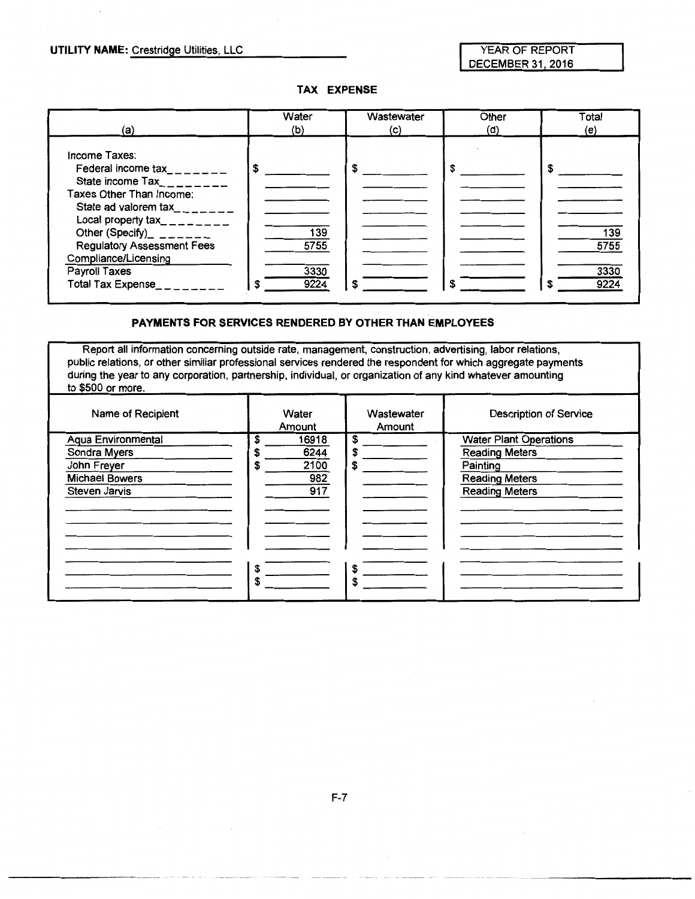YEAR OF REPORT DECEMBER 31, 2016

#### **TAX EXPENSE**

| (a)                                                                                                                                                                                                                                                                                                                                   | Water                       | Wastewater | Other | Total                            |
|---------------------------------------------------------------------------------------------------------------------------------------------------------------------------------------------------------------------------------------------------------------------------------------------------------------------------------------|-----------------------------|------------|-------|----------------------------------|
|                                                                                                                                                                                                                                                                                                                                       | (b)                         | (c)        | (d)   | (e)                              |
| Income Taxes:<br>Federal income tax_______<br>State income $\text{Tax}_{\text{max}} = 2$<br>Taxes Other Than Income:<br>State ad valorem tax_______<br>Local property tax_________<br>Other (Specify)_ $\frac{1}{2}$ ______<br><b>Regulatory Assessment Fees</b><br>Compliance/Licensing<br>Payroll Taxes<br><b>Total Tax Expense</b> | 139<br>5755<br>3330<br>9224 |            |       | S<br>139<br>5755<br>3330<br>9224 |

#### **PAYMENTS FOR SERVICES RENDERED BY OTHER THAN EMPLOYEES**

Report all information concerning outside rate, management, construction, advertising, labor relations, public relations, or other similiar professional services rendered the respondent for which aggregate payments during the year to any corporation, partnership, individual, or organization of any kind whatever amounting to \$500 or more.

| Name of Recipient                                                                                  | Water<br>Amount                           | Wastewater<br>Amount | <b>Description of Service</b>                                                                                        |
|----------------------------------------------------------------------------------------------------|-------------------------------------------|----------------------|----------------------------------------------------------------------------------------------------------------------|
| <b>Aqua Environmental</b><br>Sondra Myers<br>John Freyer<br><b>Michael Bowers</b><br>Steven Jarvis | 16918<br>6244<br>2100<br>\$<br>982<br>917 | \$<br>S<br>S         | <b>Water Plant Operations</b><br><b>Reading Meters</b><br>Painting<br><b>Reading Meters</b><br><b>Reading Meters</b> |
|                                                                                                    | \$<br>\$                                  | \$<br>S              |                                                                                                                      |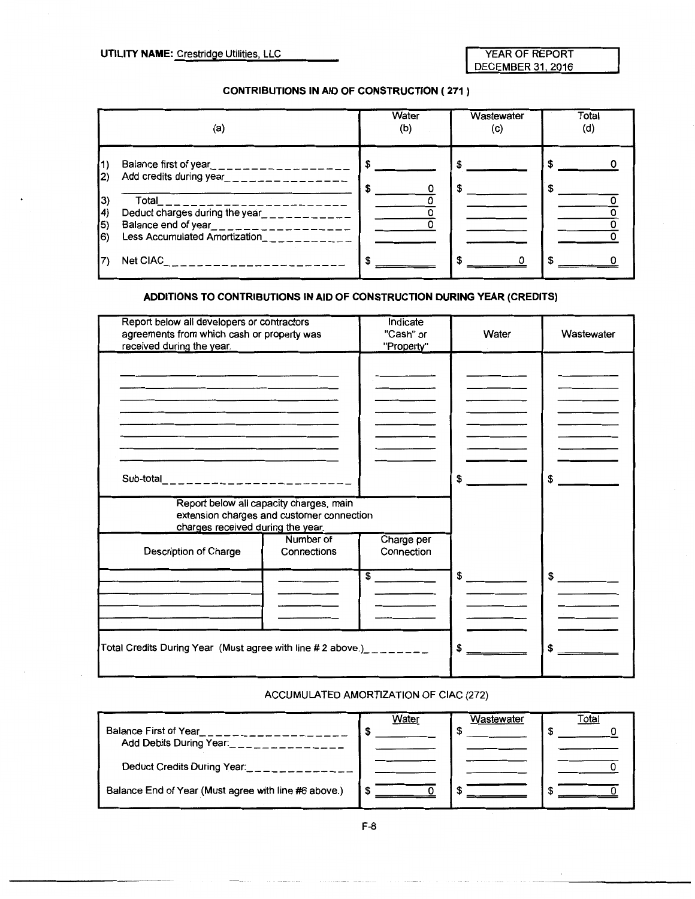YEAR OF REPORT DECEMBER 31, 2016

#### **CONTRIBUTIONS IN AID OF CONSTRUCTION ( 271** )

| (a)                                                                                                                                                             | Water<br>(b) | Wastewater<br>(c) | Total<br>(d) |
|-----------------------------------------------------------------------------------------------------------------------------------------------------------------|--------------|-------------------|--------------|
| Balance first of year___________________<br>(1)<br>Add credits during year_________________<br>$ 2\rangle$                                                      |              | S<br>S            |              |
| Total<br>3)<br>Deduct charges during the year___________<br>14)<br>$\vert$ 5)<br>Balance end of year___________________<br>Less Accumulated Amortization<br>16) |              |                   |              |
| Net CIAC                                                                                                                                                        |              |                   |              |

#### **ADDITIONS TO CONTRIBUTIONS IN AID OF CONSTRUCTION DURING YEAR (CREDITS)**

| Report below all developers or contractors<br>agreements from which cash or property was<br>received during the year.     | Indicate<br>"Cash" or<br>"Property" | Water | Wastewater                                                      |
|---------------------------------------------------------------------------------------------------------------------------|-------------------------------------|-------|-----------------------------------------------------------------|
|                                                                                                                           |                                     |       |                                                                 |
|                                                                                                                           |                                     |       |                                                                 |
|                                                                                                                           |                                     |       |                                                                 |
|                                                                                                                           |                                     |       |                                                                 |
| Sub-total_________________________                                                                                        |                                     | S     | \$<br>$\mathcal{L}^{\text{max}}$ and $\mathcal{L}^{\text{max}}$ |
| Report below all capacity charges, main<br>extension charges and customer connection<br>charges received during the year. |                                     |       |                                                                 |
| Number of<br>Description of Charge<br>Connections                                                                         | Charge per<br>Connection            |       |                                                                 |
|                                                                                                                           | $\overline{\text{S}}$               | \$    | $\frac{1}{2}$                                                   |
|                                                                                                                           |                                     |       |                                                                 |
|                                                                                                                           |                                     |       |                                                                 |
| Total Credits During Year (Must agree with line # 2 above.)________                                                       |                                     | \$    | \$                                                              |

#### ACCUMULATED AMORTIZATION OF CIAC (272)

|                                                      | Water | Wastewater | Total |
|------------------------------------------------------|-------|------------|-------|
| Balance First of Year                                |       |            |       |
| Add Debits During Year.                              |       |            |       |
| Deduct Credits During Year:                          |       |            |       |
| Balance End of Year (Must agree with line #6 above.) |       |            |       |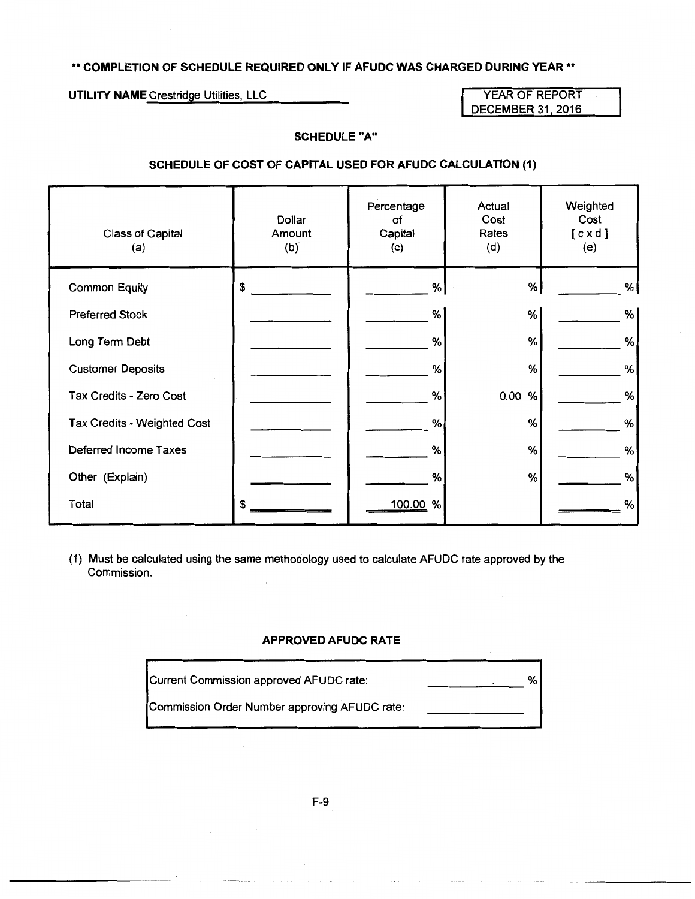#### \*\* **COMPLETION OF SCHEDULE REQUIRED ONLY IF AFUDC WAS CHARGED DURING YEAR\*\***

**UTILITY NAME** Crestridge Utilities, LLC YEAR OF REPORT

DECEMBER 31, 2016

#### **SCHEDULE "A"**

#### **SCHEDULE OF COST OF CAPITAL USED FOR AFUDC CALCULATION (1)**

| Class of Capital<br>(a)     | Dollar<br>Amount<br>(b) | Percentage<br>of<br>Capital<br>(c) | Actual<br>Cost<br>Rates<br>(d) | Weighted<br>Cost<br>[ c x d ]<br>(e) |
|-----------------------------|-------------------------|------------------------------------|--------------------------------|--------------------------------------|
| <b>Common Equity</b>        | \$                      | %                                  | %                              | %                                    |
| <b>Preferred Stock</b>      |                         | %                                  | %                              | %                                    |
| Long Term Debt              |                         | %                                  | %                              | %                                    |
| <b>Customer Deposits</b>    |                         | %                                  | %                              | %                                    |
| Tax Credits - Zero Cost     |                         | %                                  | 0.00 %                         | $\%$                                 |
| Tax Credits - Weighted Cost |                         | %                                  | %                              | %                                    |
| Deferred Income Taxes       |                         | %                                  | %                              | %                                    |
| Other (Explain)             |                         | %                                  | %                              | %                                    |
| Total                       | \$                      | %<br>100.00                        |                                | %                                    |

(1) Must be calculated using the same methodology used to calculate AFUDC rate approved by the Commission.

#### **APPROVED AFUDC RATE**

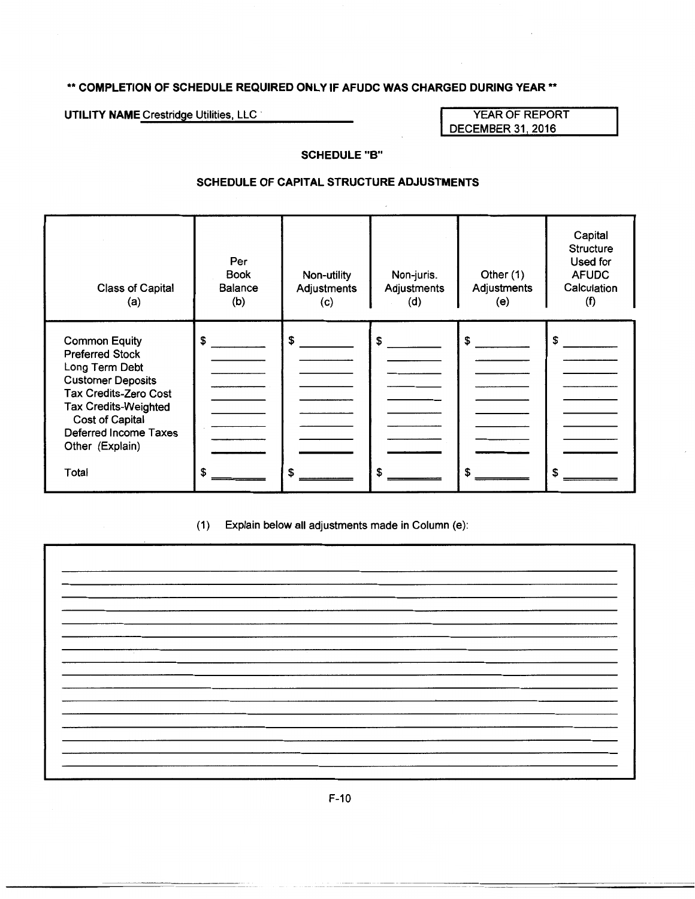#### \*\* **COMPLETION OF SCHEDULE REQUIRED ONLY IF AFUDC WAS CHARGED DURING YEAR\*\***

UTILITY NAME Crestridge Utilities, LLC **WEAR OF REPORT AND THE YEAR OF REPORT** 

DECEMBER 31, 2016

#### **SCHEDULE "B"**

#### **SCHEDULE OF CAPITAL STRUCTURE ADJUSTMENTS**

| Class of Capital<br>(a)                                                                                                                                                                                                      | Per<br><b>Book</b><br><b>Balance</b><br>(b) | Non-utility<br>Adjustments<br>(c) | Non-juris.<br>Adjustments<br>(d) | Other $(1)$<br>Adjustments<br>(e) | Capital<br><b>Structure</b><br>Used for<br><b>AFUDC</b><br>Calculation<br>(f) |
|------------------------------------------------------------------------------------------------------------------------------------------------------------------------------------------------------------------------------|---------------------------------------------|-----------------------------------|----------------------------------|-----------------------------------|-------------------------------------------------------------------------------|
| <b>Common Equity</b><br><b>Preferred Stock</b><br>Long Term Debt<br><b>Customer Deposits</b><br>Tax Credits-Zero Cost<br><b>Tax Credits-Weighted</b><br>Cost of Capital<br>Deferred Income Taxes<br>Other (Explain)<br>Total | \$<br>S                                     |                                   | \$                               | S                                 | \$                                                                            |

(1) Explain below all adjustments made in Column (e):

| $\sim$ |  |
|--------|--|
|        |  |
|        |  |
|        |  |
|        |  |
|        |  |
|        |  |
|        |  |
|        |  |
|        |  |
|        |  |
|        |  |
|        |  |
|        |  |
|        |  |
|        |  |
|        |  |
|        |  |
|        |  |
|        |  |
|        |  |
|        |  |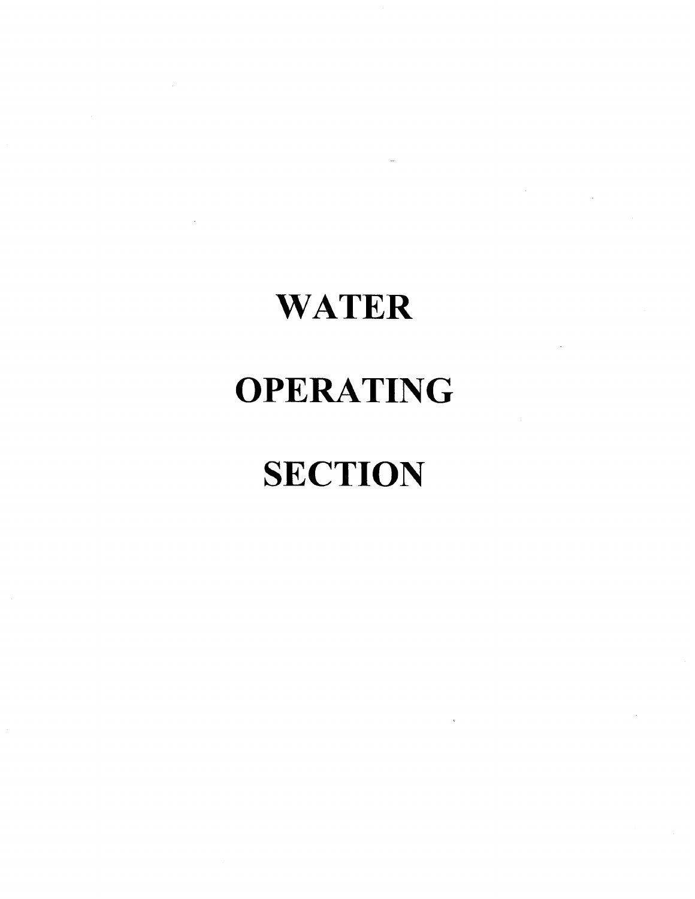# **WATER**

## **OPERATING**

# **SECTION**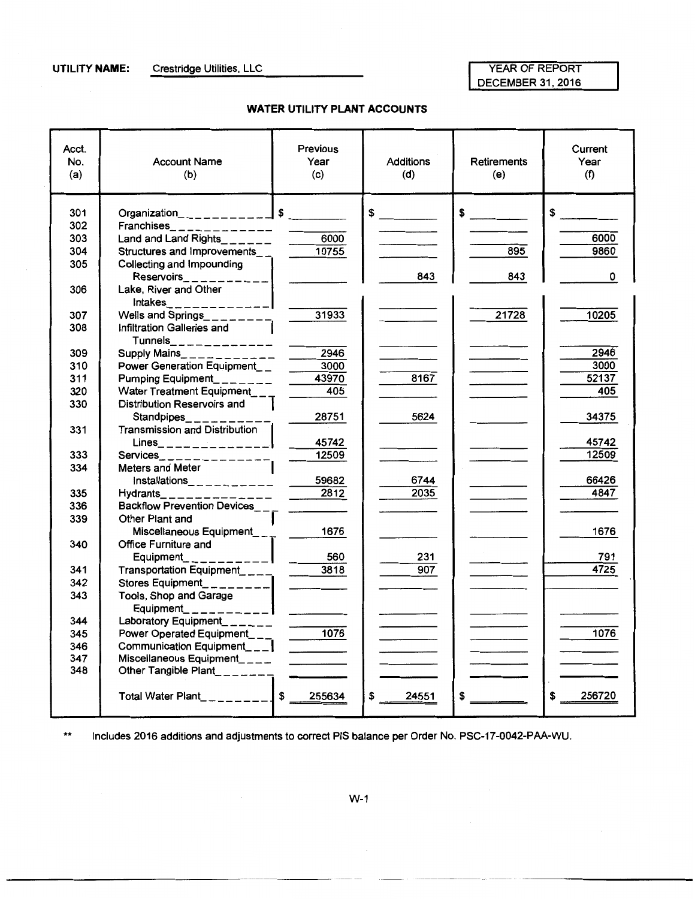**UTILITY NAME:** Crestridge Utilities, LLC

#### YEAR OF REPORT DECEMBER 31,2016

#### **WATER UTILITY PLANT ACCOUNTS**

| Acct.<br>No.<br>(a) | <b>Account Name</b><br>(b)                     | <b>Previous</b><br>Year<br>(c) | <b>Additions</b><br>(d) | <b>Retirements</b><br>(e) | Current<br>Year<br>(f) |
|---------------------|------------------------------------------------|--------------------------------|-------------------------|---------------------------|------------------------|
| 301                 | Organization_ _ _ _ _ _ _ _ _ _ _ _ _ _ _ _ \$ |                                | $\frac{1}{\sqrt{2}}$    | $\frac{1}{2}$             | $\frac{1}{\sqrt{2}}$   |
| 302                 |                                                |                                |                         |                           |                        |
| 303                 | Land and Land Rights______                     | 6000                           |                         |                           | 6000                   |
| 304                 | Structures and Improvements__                  | 10755                          |                         | 895                       | 9860                   |
| 305                 | Collecting and Impounding                      |                                |                         |                           |                        |
|                     |                                                |                                | 843                     | 843                       | 0                      |
| 306                 | Lake, River and Other                          |                                |                         |                           |                        |
|                     | $Intakes$ <sub>______________</sub>            |                                |                         |                           |                        |
| 307                 | Wells and Springs_________                     | 31933                          |                         | 21728                     | 10205                  |
| 308                 | Infiltration Galleries and                     |                                |                         |                           |                        |
|                     | $T$ unnels_ _ _ _ _ _ _ _ _ _ _ _ _            |                                |                         |                           |                        |
| 309                 |                                                |                                |                         |                           | 2946                   |
| 310                 | Power Generation Equipment__                   | 3000                           |                         |                           | 3000                   |
| 311                 | Pumping Equipment_______                       | 43970                          | 8167                    |                           | 52137                  |
| 320                 | Water Treatment Equipment                      | 405                            |                         |                           | 405                    |
| 330                 | Distribution Reservoirs and                    |                                |                         |                           |                        |
|                     | Standpipes________                             | 28751                          | 5624                    |                           | 34375                  |
| 331                 | Transmission and Distribution                  |                                |                         |                           |                        |
|                     | $Lines$ <sub>_______________</sub>             | 45742                          |                         |                           | 45742                  |
| 333                 | Services________________                       | 12509                          |                         |                           | 12509                  |
| 334                 | Meters and Meter                               |                                |                         |                           |                        |
|                     |                                                | $-59682$                       | 6744                    |                           | 66426                  |
| 335                 | Hydrants_ _ _ _ _ _ _ _ _ _ _ _ _              |                                | 2035                    |                           | 4847                   |
| 336                 | Backflow Prevention Devices___                 |                                |                         |                           |                        |
| 339                 | Other Plant and                                |                                |                         |                           |                        |
|                     | Miscellaneous Equipment____ 1676               |                                |                         |                           | 1676                   |
| 340                 | Office Furniture and                           |                                |                         |                           |                        |
|                     | $Equipment$ <sub>--------</sub>                | $\frac{560}{2}$                | 231                     |                           | 791<br>4725            |
| 341                 | Transportation Equipment____                   | $-3818$                        | 907                     |                           |                        |
| 342                 | Stores Equipment_________                      | $\overline{\phantom{a}}$       |                         |                           |                        |
| 343                 | Tools, Shop and Garage                         |                                |                         |                           |                        |
|                     | Equipment_ _ _ _ _ _ _ _ _ _ _ _ $\vert$       |                                |                         |                           |                        |
| 344                 | Laboratory Equipment_______                    |                                |                         |                           | 1076                   |
| 345                 | Power Operated Equipment___                    | $\frac{1076}{ }$               |                         |                           |                        |
| 346<br>347          | Communication Equipment___                     | $\frac{1}{2}$                  |                         |                           |                        |
| 348                 | Other Tangible Plant_______                    |                                |                         |                           |                        |
|                     |                                                |                                |                         |                           |                        |
|                     |                                                |                                | \$<br>24551             | \$                        | 256720<br>S            |

\*\* Includes 2016 additions and adjustments to correct PIS balance per Order No. PSC-17-0042-PAA-WU.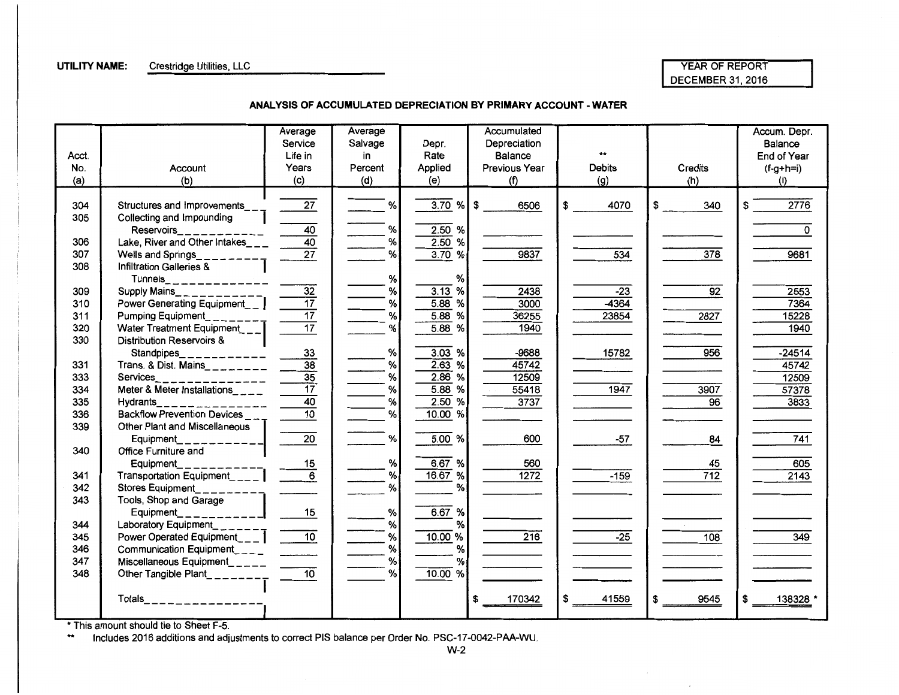#### **UTILITY NAME:** Crestridge Utilities, LLC

#### YEAR OF REPORT DECEMBER 31, 2016

 $\mathcal{L}$ 

**ANALYSIS OF ACCUMULATED DEPRECIATION BY PRIMARY ACCOUNT- WATER** 

|       |                                         | Average<br>Service | Average<br>Salvage | Depr.        | Accumulated<br>Depreciation |               |                 | Accum. Depr.<br>Balance |
|-------|-----------------------------------------|--------------------|--------------------|--------------|-----------------------------|---------------|-----------------|-------------------------|
| Acct. |                                         | Life in            | in                 | Rate         | Balance                     |               |                 | End of Year             |
| No.   | Account                                 | Years              | Percent            | Applied      | Previous Year               | <b>Debits</b> | Credits         | $(f-g+h=i)$             |
| (a)   | (b)                                     | (c)                | (d)                | (e)          | (f)                         | (g)           | (h)             | (i)                     |
|       |                                         |                    |                    |              |                             |               |                 |                         |
| 304   | Structures and Improvements___          | 27                 | %                  | $3.70 \%$ \$ | 6506                        | 4070<br>\$    | 340             | 2776                    |
| 305   | Collecting and Impounding               |                    |                    |              |                             |               |                 |                         |
|       | Reservoirs___________                   | 40                 | %                  | 2.50%        |                             |               |                 | 0                       |
| 306   | Lake, River and Other Intakes___        | $\overline{40}$    | $\%$               | 2.50%        |                             |               |                 |                         |
| 307   | Wells and Springs__                     | $\overline{27}$    | %                  | 3.70%        | 9837                        | 534           | 378             | 9681                    |
| 308   | <b>Infiltration Galleries &amp;</b>     |                    |                    |              |                             |               |                 |                         |
|       |                                         |                    | %                  | %            |                             |               |                 |                         |
| 309   | Supply Mains_ $x - 1 - 1$               | $\overline{32}$    | $\%$               | 3.13%        | 2438                        | $-23$         | $\overline{92}$ | 2553                    |
| 310   | Power Generating Equipment_ _           | $\overline{17}$    | $\%$               | $5.88$ %     | 3000                        | $-4364$       |                 | 7364                    |
| 311   | Pumping Equipment                       | $\overline{17}$    | $\%$               | %<br>5.88    | 36255                       | 23854         | 2827            | 15228                   |
| 320   | Water Treatment Equipment___            | $\overline{17}$    | %                  | 5.88<br>%    | 1940                        |               |                 | 1940                    |
| 330   | <b>Distribution Reservoirs &amp;</b>    |                    |                    |              |                             |               |                 |                         |
|       | Standpipes__<br>---------               | 33                 | $\%$               | 3.03%        | -9688                       | 15782         | 956             | $-24514$                |
| 331   | Trans. & Dist. Mains________            | $\overline{38}$    | %                  | 2.63%        | 45742                       |               |                 | 45742                   |
| 333   | Services<br>____________                | $\overline{35}$    | $\%$               | 2.86%        | 12509                       |               |                 | 12509                   |
| 334   | Meter & Meter Installations_____        | $\overline{17}$    | $\%$               | $\%$<br>5.88 | 55418                       | 1947          | 3907            | 57378                   |
| 335   | Hydrants<br>_ _ _ _ _ _ _ _ _ _ _ _ _   | $\overline{40}$    | %                  | 2.50%        | 3737                        |               | 96              | 3833                    |
| 336   | Backflow Prevention Devices             | $\overline{10}$    | %                  | 10.00 %      |                             |               |                 |                         |
| 339   | Other Plant and Miscellaneous           |                    |                    |              |                             |               |                 |                         |
|       | Equipment___________                    | $\overline{20}$    | $\%$               | 5.00%        | 600                         | $-57$         | 84              | 741                     |
| 340   | Office Furniture and                    |                    |                    |              |                             |               |                 |                         |
|       | Equipment                               | 15                 | %                  | 6.67 %       | 560                         |               | 45              | 605                     |
| 341   | Transportation Equipment <sub>200</sub> | $\overline{6}$     | %                  | 16.67 %      | 1272                        | $-159$        | 712             | 2143                    |
| 342   | Stores Equipment                        |                    | %                  | %            |                             |               |                 |                         |
| 343   | Tools, Shop and Garage                  |                    |                    |              |                             |               |                 |                         |
|       | Equipment__<br>_ _ _ _ _ _ _ _          | 15                 | %                  | 6.67 %       |                             |               |                 |                         |
| 344   | Laboratory Equipment                    |                    | $\%$               | %            |                             |               |                 |                         |
| 345   | Power Operated Equipment___             | 10 <sup>1</sup>    | $\%$               | 10.00 %      | 216                         | $-25$         | $\frac{1}{108}$ | 349                     |
| 346   |                                         |                    | $\%$               | $\%$         |                             |               |                 |                         |
| 347   |                                         |                    | $\%$               | %            |                             |               |                 |                         |
| 348   | Other Tangible Plant_________           | $\overline{10}$    | %                  | 10.00 %      |                             |               |                 |                         |
|       |                                         |                    |                    |              |                             |               |                 |                         |
|       | Totals_________________                 |                    |                    |              | 170342                      | 41559         | 9545            | 138328                  |
|       |                                         |                    |                    |              |                             |               |                 |                         |

\*This amount should tie to Sheet F-5.

 Includes 2016 additions and adjustments to correct PIS balance per Order No. PSC-17-0042-PAA-WU.  $\star\star$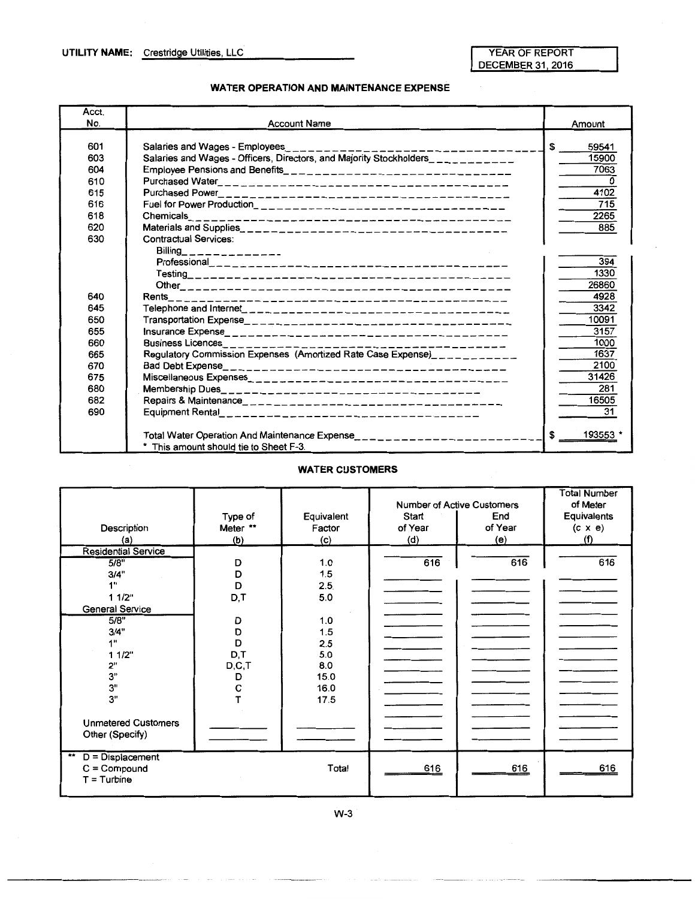DECEMBER 31, 2016

#### **WATER OPERATION AND MAINTENANCE EXPENSE**

| Acct.<br>No.                                                              | <b>Account Name</b>                                                                                                                                                                                                                                                                               | Amount                                                                                                       |
|---------------------------------------------------------------------------|---------------------------------------------------------------------------------------------------------------------------------------------------------------------------------------------------------------------------------------------------------------------------------------------------|--------------------------------------------------------------------------------------------------------------|
| 601<br>603<br>604<br>610<br>615<br>616<br>618<br>620<br>630               | Salaries and Wages - Employees<br>. _ _  _ _ _ _ _ _ _ _ _<br>Salaries and Wages - Officers, Directors, and Majority Stockholders___________<br>Employee Pensions and Benefits___________________________________<br>Chemicals<br>--------------------------------------<br>Contractual Services: | \$<br>59541<br>15900<br>7063<br>4102<br>715<br>2265<br>885                                                   |
| 640<br>645<br>650<br>655<br>660<br>665<br>670<br>675<br>680<br>682<br>690 | Billing_______________<br>Rents<br>Business Licences_________<br>Regulatory Commission Expenses (Amortized Rate Case Expense)___________                                                                                                                                                          | 394<br>1330<br>26860<br>4928<br>3342<br>10091<br>3157<br>1000<br>1637<br>2100<br>31426<br>281<br>16505<br>31 |
|                                                                           | Total Water Operation And Maintenance Expense____________________________<br>* This amount should tie to Sheet F-3.                                                                                                                                                                               | 193553<br>\$                                                                                                 |

#### **WATER CUSTOMERS**

| Description<br>(a)                            | Type of<br>Meter **<br>(b) | Equivalent<br>Factor<br>(c) | Start<br>of Year<br>(d) | Number of Active Customers<br>End<br>of Year<br>(e) | <b>Total Number</b><br>of Meter<br>Equivalents<br>$(c \times e)$<br>(f) |
|-----------------------------------------------|----------------------------|-----------------------------|-------------------------|-----------------------------------------------------|-------------------------------------------------------------------------|
| <b>Residential Service</b>                    |                            |                             |                         |                                                     |                                                                         |
| 5/8"                                          | D                          | 1.0                         | 616                     | 616                                                 | 616                                                                     |
| 3/4"                                          | D                          | 1.5                         |                         |                                                     |                                                                         |
| 1"                                            | D                          | 2.5                         |                         |                                                     |                                                                         |
| 1 1/2"                                        | D,T                        | 5.0                         |                         |                                                     |                                                                         |
| General Service                               |                            |                             |                         |                                                     |                                                                         |
| 5/8"                                          | D                          | 1.0                         |                         |                                                     |                                                                         |
| 3/4"                                          | D                          | 1.5                         |                         |                                                     |                                                                         |
| 1"                                            | D                          | 2.5                         |                         |                                                     |                                                                         |
| 11/2"                                         | D,T                        | 5.0                         |                         |                                                     |                                                                         |
| 2"                                            | D, C, T                    | 8.0                         |                         |                                                     |                                                                         |
| 3"                                            | D                          | 15.0                        |                         |                                                     |                                                                         |
| 3"                                            | $\mathbf C$                | 16.0                        |                         |                                                     |                                                                         |
| 3"                                            |                            | 17.5                        |                         |                                                     |                                                                         |
| <b>Unmetered Customers</b><br>Other (Specify) |                            |                             |                         |                                                     |                                                                         |
| $D = Displacement$<br>**                      |                            |                             |                         |                                                     |                                                                         |
| $C =$ Compound                                |                            | Total                       | 616                     | 616                                                 | 616                                                                     |
| $T =$ Turbine                                 |                            |                             |                         |                                                     |                                                                         |
|                                               |                            |                             |                         |                                                     |                                                                         |

W-3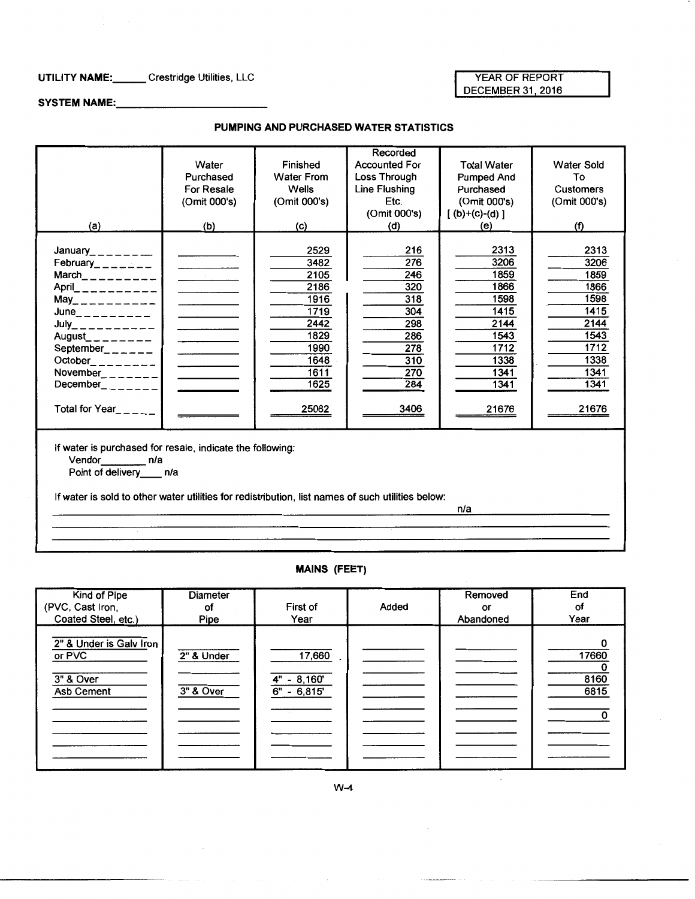#### UTILITY NAME:\_\_\_\_\_\_ Crestridge Utilities, LLC

#### YEAR OF REPORT DECEMBER 31, 2016

 $\mathcal{L}$ 

SYSTEM NAME:

#### PUMPING AND PURCHASED WATER STATISTICS

| (a)                                                                                                                                                                                                                                                                                                                                                              | Water<br>Purchased<br>For Resale<br>(Omit 000's)<br>(b)                                                                                             | Finished<br><b>Water From</b><br><b>Wells</b><br>(Omit 000's)<br>(c)                                  | Recorded<br><b>Accounted For</b><br>Loss Through<br>Line Flushing<br>Etc.<br>(Omit 000's)<br>(d) | <b>Total Water</b><br><b>Pumped And</b><br>Purchased<br>(Omit 000's)<br>$[(b)+(c)-(d)]$<br>(e)        | <b>Water Sold</b><br>To<br><b>Customers</b><br>(Omit 000's)<br>(f)                                    |
|------------------------------------------------------------------------------------------------------------------------------------------------------------------------------------------------------------------------------------------------------------------------------------------------------------------------------------------------------------------|-----------------------------------------------------------------------------------------------------------------------------------------------------|-------------------------------------------------------------------------------------------------------|--------------------------------------------------------------------------------------------------|-------------------------------------------------------------------------------------------------------|-------------------------------------------------------------------------------------------------------|
| January_______<br>February_______<br>$March$ <sub>-------</sub><br>$April$ __________<br>$May_{----------}$<br>$June_{\leftarrow \, --\, --\, --\, --}$<br>$July$ __________<br>August________<br>September <sub>-<math>-</math></sub> ---<br>$October$ <sub>_________</sub><br>November <sub>_______</sub>  <br>December <b>December</b><br>Total for Year_____ | and the company of the<br><b>Controller State</b><br>the contract of the con-<br>the control of the control of<br>and the control of the control of | 2529<br>3482<br>2105<br>2186<br>1916<br>1719<br>2442<br>1829<br>1990<br>1648<br>1611<br>1625<br>25082 | 216<br>276<br>246<br>320<br>318<br>304<br>298<br>286<br>278<br>310<br>270<br>284<br>3406         | 2313<br>3206<br>1859<br>1866<br>1598<br>1415<br>2144<br>1543<br>1712<br>1338<br>1341<br>1341<br>21676 | 2313<br>3206<br>1859<br>1866<br>1598<br>1415<br>2144<br>1543<br>1712<br>1338<br>1341<br>1341<br>21676 |
| If water is purchased for resale, indicate the following:<br>Vendor n/a<br>Point of delivery ____ n/a<br>If water is sold to other water utilities for redistribution, list names of such utilities below:                                                                                                                                                       |                                                                                                                                                     |                                                                                                       |                                                                                                  | n/a                                                                                                   |                                                                                                       |

#### MAINS (FEET)

| Kind of Pipe                                                 | Diameter                |                                            |       | Removed   | End                   |
|--------------------------------------------------------------|-------------------------|--------------------------------------------|-------|-----------|-----------------------|
| (PVC, Cast Iron,                                             | οf                      | First of                                   | Added | or        | оf                    |
| Coated Steel, etc.)                                          | Pipe                    | Year                                       |       | Abandoned | Year                  |
| 2" & Under is Galv Iron<br>or PVC<br>3" & Over<br>Asb Cement | 2" & Under<br>3" & Over | 17,660<br>$4" - 8,160"$<br>6"<br>$-6,815'$ |       |           | 17660<br>8160<br>6815 |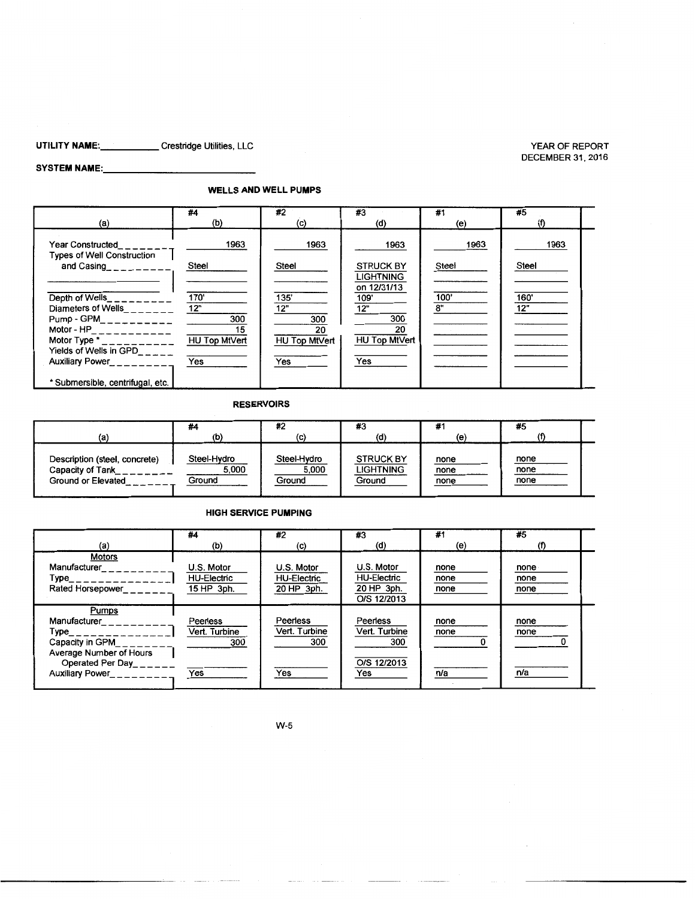#### **UTILITY NAME: \_\_\_\_\_** Crestridge Utilities, LLC

#### SYSTEM NAME:

#### **WELLS AND WELL PUMPS**

| (a)                                                          | #4<br>(b)                  | #2<br>(C)           | #3<br>(d)                     | #1<br>(e) | #5    |  |
|--------------------------------------------------------------|----------------------------|---------------------|-------------------------------|-----------|-------|--|
|                                                              |                            |                     |                               |           |       |  |
| <b>Year Constructed</b><br><b>Types of Well Construction</b> | 1963                       | 1963                | 1963                          | 1963      | 1963  |  |
| and Casing<br>$-$ ------                                     | Steel                      | Steel               | <b>STRUCK BY</b><br>LIGHTNING | Steel     | Steel |  |
| Depth of Wells                                               | 170'                       | 135'                | on 12/31/13<br>109'           | 100'      | 160'  |  |
| Diameters of Wells                                           | 12"<br>300                 | 12"<br>300          | 12"<br>300                    | 8"        | 12"   |  |
| Motor - $HP$ <sub>___</sub> _________<br>Motor Type $*$      | 15<br><b>HU Top MtVert</b> | 20<br>HU Top MtVert | 20<br><b>HU Top MtVert</b>    |           |       |  |
| Yields of Wells in $GPD_{n-m-m}$                             | Yes                        | Yes                 | Yes                           |           |       |  |
| Auxiliary Power                                              |                            |                     |                               |           |       |  |
| * Submersible, centrifugal, etc.                             |                            |                     |                               |           |       |  |

#### **RESERVOIRS**

| (a)                           | #4<br>(b)   | #2<br>(c)   | #3<br>(d)        | #1<br>(e) | #5   |  |
|-------------------------------|-------------|-------------|------------------|-----------|------|--|
| Description (steel, concrete) | Steel-Hydro | Steel-Hydro | <b>STRUCK BY</b> | none      | none |  |
| Capacity of Tank              | 5.000       | 5,000       | LIGHTNING        | none      | none |  |
| Ground or Elevated            | Ground      | Ground      | Ground           | none      | none |  |

#### **HIGH SERVICE PUMPING**

|                                                                                                                                     | #4                                                    | #2                                                    | #3                                                                   | #1                          | #5                          |  |
|-------------------------------------------------------------------------------------------------------------------------------------|-------------------------------------------------------|-------------------------------------------------------|----------------------------------------------------------------------|-----------------------------|-----------------------------|--|
| (a)<br><b>Motors</b><br>Manufacturer<br>Type_<br>Rated Horsepower                                                                   | (b)<br>U.S. Motor<br><b>HU-Electric</b><br>15 HP 3ph. | (c)<br>U.S. Motor<br><b>HU-Electric</b><br>20 HP 3ph. | (d)<br>U.S. Motor<br><b>HU-Electric</b><br>20 HP 3ph.<br>O/S 12/2013 | (e)<br>none<br>none<br>none | (f)<br>none<br>none<br>none |  |
| Pumps<br>Manufacturer<br>Type<br>Capacity in GPM<br>Average Number of Hours<br>Operated Per Day<br>Auxiliary Power<br><u>__</u> ___ | Peerless<br>Vert. Turbine<br>300<br>Yes               | Peerless<br>Vert. Turbine<br>300<br>Yes               | Peerless<br>Vert. Turbine<br>300<br>O/S 12/2013<br>Yes               | none<br>none<br>n/a         | none<br>none<br>n/a         |  |

YEAR OF REPORT DECEMBER 31,2016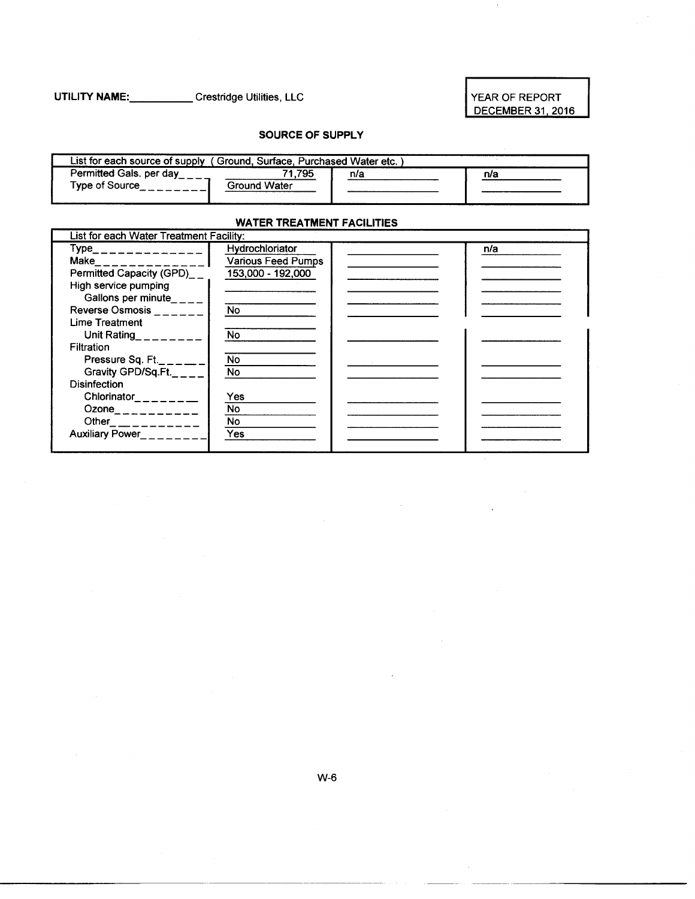#### **UTILITY NAME: \_\_\_\_\_** Crestridge Utilities, LLC

#### YEAR OF REPORT DECEMBER 31, 2016

#### **SOURCE OF SUPPLY**

| List for each source of supply (Ground, Surface, Purchased Water etc. |                      |     |     |
|-----------------------------------------------------------------------|----------------------|-----|-----|
| Permitted Gals. per day<br>Type of Source                             | .795<br>Ground Water | n/a | n/a |

#### **WATER TREATMENT FACILITIES**

| List for each Water Treatment Facility: |                           |     |
|-----------------------------------------|---------------------------|-----|
| $Type$ <sub>______________</sub>        | Hydrochloriator           | n/a |
| Make______________                      | <b>Various Feed Pumps</b> |     |
| Permitted Capacity (GPD)__              | 153,000 - 192,000         |     |
| High service pumping                    |                           |     |
| Gallons per minute_ $\_{\_--}$          |                           |     |
| <b>Reverse Osmosis</b>                  | <b>No</b>                 |     |
| Lime Treatment                          |                           |     |
| Unit Rating <b>Direction</b>            | No                        |     |
| Filtration                              |                           |     |
| Pressure Sq. Ft.                        | <b>No</b>                 |     |
| Gravity GPD/Sq.Ft.                      | No                        |     |
| <b>Disinfection</b>                     |                           |     |
| Chlorinator_______                      | Yes                       |     |
| Ozone___________                        | No.                       |     |
|                                         | No.                       |     |
| Auxiliary Power_______                  | Yes                       |     |
|                                         |                           |     |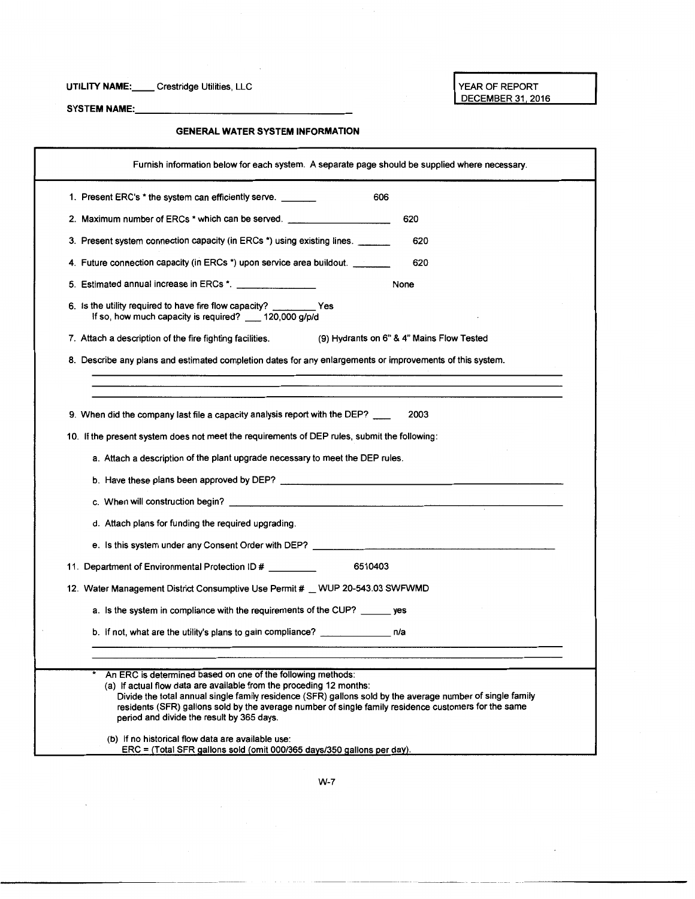#### **UTILITY NAME: \_\_** Crestridge Utilities, LLC

YEAR OF REPORT DECEMBER 31, 2016

SYSTEM NAME:

 $\Delta \sim 10^{10}$ 

#### **GENERAL WATER SYSTEM INFORMATION**

| Furnish information below for each system. A separate page should be supplied where necessary.                                                                                                                                                                                                                                                                                                       |
|------------------------------------------------------------------------------------------------------------------------------------------------------------------------------------------------------------------------------------------------------------------------------------------------------------------------------------------------------------------------------------------------------|
| 1. Present ERC's * the system can efficiently serve. _______<br>606                                                                                                                                                                                                                                                                                                                                  |
| 620<br>2. Maximum number of ERCs * which can be served. _______________________________                                                                                                                                                                                                                                                                                                              |
| 620<br>3. Present system connection capacity (in ERCs *) using existing lines.                                                                                                                                                                                                                                                                                                                       |
| 4. Future connection capacity (in ERCs *) upon service area buildout. ________<br>620                                                                                                                                                                                                                                                                                                                |
| 5. Estimated annual increase in ERCs *.<br>None                                                                                                                                                                                                                                                                                                                                                      |
| 6. Is the utility required to have fire flow capacity? __________ Yes<br>If so, how much capacity is required? __ 120,000 g/p/d                                                                                                                                                                                                                                                                      |
| (9) Hydrants on 6" & 4" Mains Flow Tested<br>7. Attach a description of the fire fighting facilities.                                                                                                                                                                                                                                                                                                |
| 8. Describe any plans and estimated completion dates for any enlargements or improvements of this system.                                                                                                                                                                                                                                                                                            |
|                                                                                                                                                                                                                                                                                                                                                                                                      |
| 9. When did the company last file a capacity analysis report with the DEP?<br>2003                                                                                                                                                                                                                                                                                                                   |
| 10. If the present system does not meet the requirements of DEP rules, submit the following:                                                                                                                                                                                                                                                                                                         |
| a. Attach a description of the plant upgrade necessary to meet the DEP rules.                                                                                                                                                                                                                                                                                                                        |
|                                                                                                                                                                                                                                                                                                                                                                                                      |
|                                                                                                                                                                                                                                                                                                                                                                                                      |
| d. Attach plans for funding the required upgrading.                                                                                                                                                                                                                                                                                                                                                  |
|                                                                                                                                                                                                                                                                                                                                                                                                      |
| 11. Department of Environmental Protection ID #<br>6510403                                                                                                                                                                                                                                                                                                                                           |
| 12. Water Management District Consumptive Use Permit # WUP 20-543.03 SWFWMD                                                                                                                                                                                                                                                                                                                          |
| a. Is the system in compliance with the requirements of the CUP? ______ yes                                                                                                                                                                                                                                                                                                                          |
| b. If not, what are the utility's plans to gain compliance?                                                                                                                                                                                                                                                                                                                                          |
|                                                                                                                                                                                                                                                                                                                                                                                                      |
| An ERC is determined based on one of the following methods:<br>(a) If actual flow data are available from the proceding 12 months:<br>Divide the total annual single family residence (SFR) gallons sold by the average number of single family<br>residents (SFR) gallons sold by the average number of single family residence customers for the same<br>period and divide the result by 365 days. |
| (b) If no historical flow data are available use:<br>ERC = (Total SFR gallons sold (omit 000/365 days/350 gallons per day).                                                                                                                                                                                                                                                                          |

-----------·--·------------- ------ -- - -~~-----------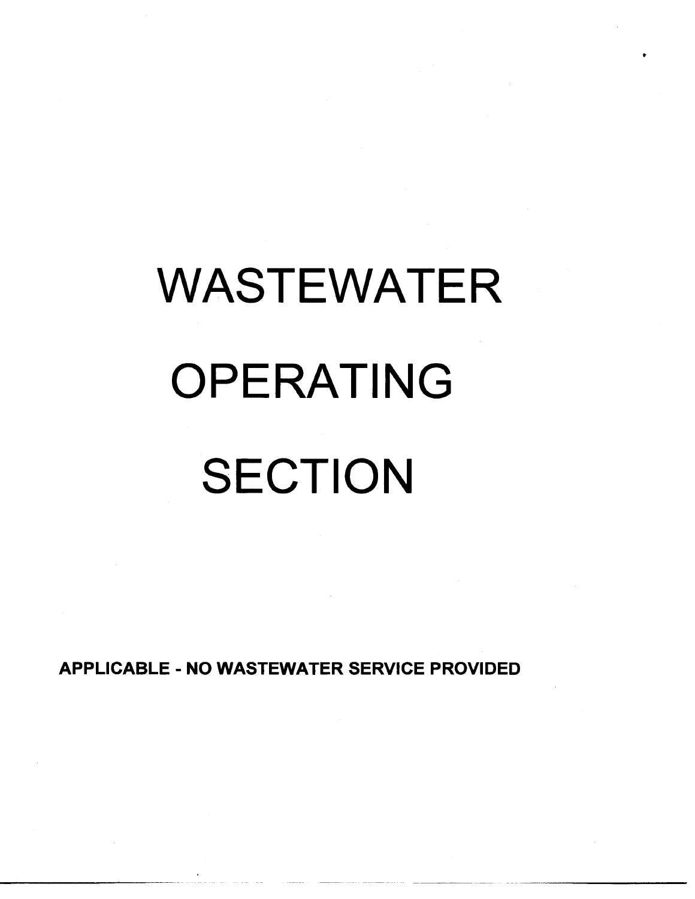# WASTEWATER OPERATING **SECTION**

•

APPLICABLE- NO WASTEWATER SERVICE PROVIDED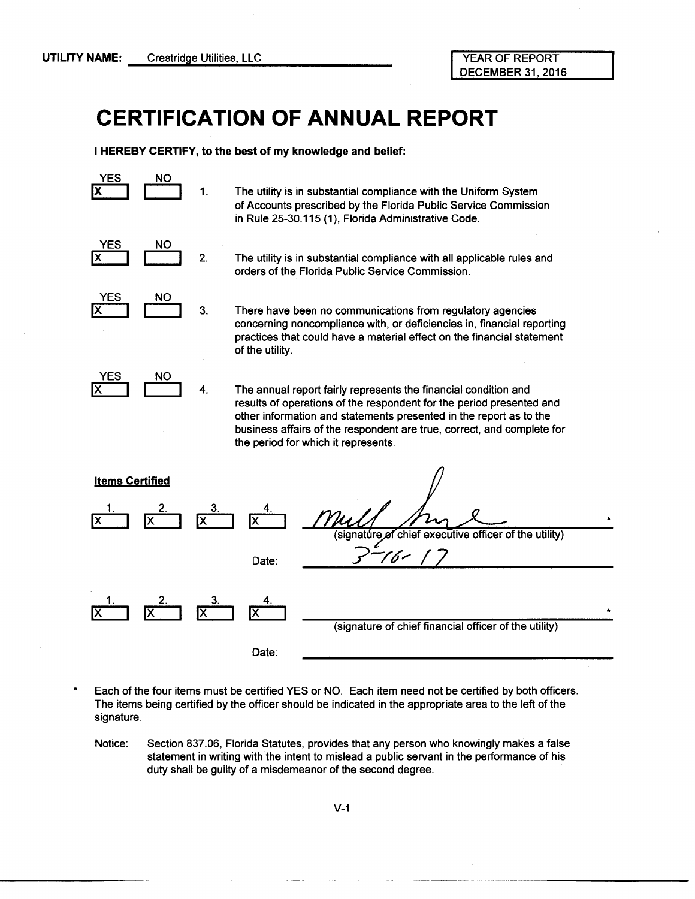## **CERTIFICATION OF ANNUAL REPORT**

I HEREBY CERTIFY, to the best of my knowledge and belief:



The utility is in substantial compliance with the Uniform System of Accounts prescribed by the Florida Public Service Commission in Rule 25-30.115 (1), Florida Administrative Code.



The utility is in substantial compliance with all applicable rules and orders of the Florida Public Service Commission.



There have been no communications from regulatory agencies concerning noncompliance with, or deficiencies in, financial reporting practices that could have a material effect on the financial statement of the utility.

YES  $\overline{X}$ NO 4.

-----------·------ ----

The annual report fairly represents the financial condition and results of operations of the respondent for the period presented and other information and statements presented in the report as to the business affairs of the respondent are true, correct, and complete for the period for which it represents.



\* Each of the four items must be certified YES or NO. Each item need not be certified by both officers. The items being certified by the officer should be indicated in the appropriate area to the left of the signature.

Notice: Section 837.06, Florida Statutes, provides that any person who knowingly makes a false statement in writing with the intent to mislead a public servant in the performance of his duty shall be guilty of a misdemeanor of the second degree.